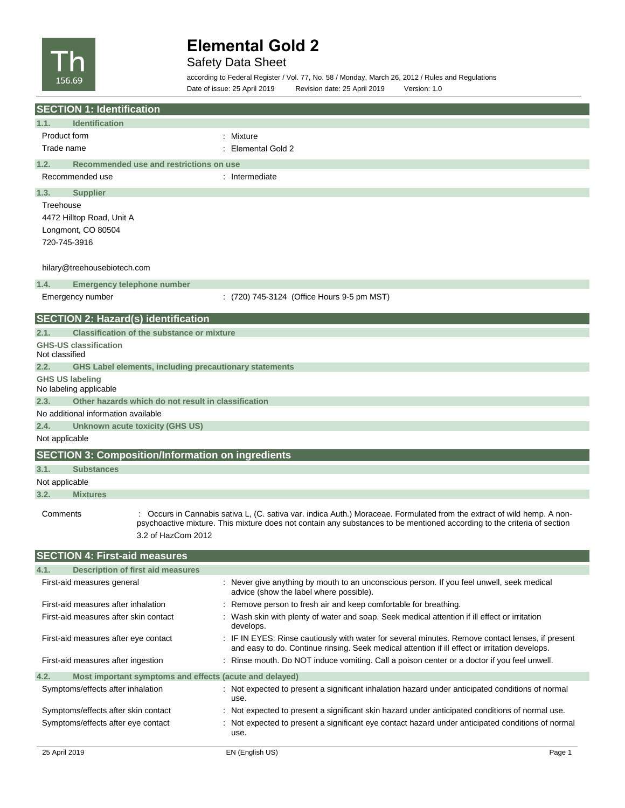

## Safety Data Sheet

according to Federal Register / Vol. 77, No. 58 / Monday, March 26, 2012 / Rules and Regulations Date of issue: 25 April 2019 Revision date: 25 April 2019 Version: 1.0

| <b>SECTION 1: Identification</b>                                                                                                     |                                                                                                                                                                                                                                                    |
|--------------------------------------------------------------------------------------------------------------------------------------|----------------------------------------------------------------------------------------------------------------------------------------------------------------------------------------------------------------------------------------------------|
| 1.1.<br><b>Identification</b>                                                                                                        |                                                                                                                                                                                                                                                    |
| <b>Product form</b>                                                                                                                  | : Mixture                                                                                                                                                                                                                                          |
| Trade name                                                                                                                           | Elemental Gold 2                                                                                                                                                                                                                                   |
| 1.2.<br>Recommended use and restrictions on use                                                                                      |                                                                                                                                                                                                                                                    |
| Recommended use                                                                                                                      | : Intermediate                                                                                                                                                                                                                                     |
| 1.3.<br><b>Supplier</b>                                                                                                              |                                                                                                                                                                                                                                                    |
| Treehouse                                                                                                                            |                                                                                                                                                                                                                                                    |
| 4472 Hilltop Road, Unit A                                                                                                            |                                                                                                                                                                                                                                                    |
| Longmont, CO 80504                                                                                                                   |                                                                                                                                                                                                                                                    |
| 720-745-3916                                                                                                                         |                                                                                                                                                                                                                                                    |
| hilary@treehousebiotech.com                                                                                                          |                                                                                                                                                                                                                                                    |
| 1.4.<br>Emergency telephone number                                                                                                   |                                                                                                                                                                                                                                                    |
| Emergency number                                                                                                                     | $(720)$ 745-3124 (Office Hours 9-5 pm MST)                                                                                                                                                                                                         |
| <b>SECTION 2: Hazard(s) identification</b>                                                                                           |                                                                                                                                                                                                                                                    |
| <b>Classification of the substance or mixture</b><br>2.1.                                                                            |                                                                                                                                                                                                                                                    |
| <b>GHS-US classification</b><br>Not classified                                                                                       |                                                                                                                                                                                                                                                    |
| 2.2.<br><b>GHS Label elements, including precautionary statements</b>                                                                |                                                                                                                                                                                                                                                    |
| <b>GHS US labeling</b><br>No labeling applicable                                                                                     |                                                                                                                                                                                                                                                    |
| 2.3.<br>Other hazards which do not result in classification                                                                          |                                                                                                                                                                                                                                                    |
| No additional information available                                                                                                  |                                                                                                                                                                                                                                                    |
| 2.4.<br>Unknown acute toxicity (GHS US)                                                                                              |                                                                                                                                                                                                                                                    |
| Not applicable                                                                                                                       |                                                                                                                                                                                                                                                    |
| <b>SECTION 3: Composition/Information on ingredients</b>                                                                             |                                                                                                                                                                                                                                                    |
| 3.1.<br><b>Substances</b>                                                                                                            |                                                                                                                                                                                                                                                    |
| Not applicable                                                                                                                       |                                                                                                                                                                                                                                                    |
| <b>Mixtures</b><br>3.2.                                                                                                              |                                                                                                                                                                                                                                                    |
| Comments<br>3.2 of HazCom 2012                                                                                                       | : Occurs in Cannabis sativa L, (C. sativa var. indica Auth.) Moraceae. Formulated from the extract of wild hemp. A non-<br>psychoactive mixture. This mixture does not contain any substances to be mentioned according to the criteria of section |
| <b>SECTION 4: First-aid measures</b>                                                                                                 |                                                                                                                                                                                                                                                    |
| 4.1.<br><b>Description of first aid measures</b>                                                                                     |                                                                                                                                                                                                                                                    |
| First-aid measures general                                                                                                           | : Never give anything by mouth to an unconscious person. If you feel unwell, seek medical<br>advice (show the label where possible).                                                                                                               |
| First-aid measures after inhalation                                                                                                  | Remove person to fresh air and keep comfortable for breathing.                                                                                                                                                                                     |
| First-aid measures after skin contact                                                                                                | Wash skin with plenty of water and soap. Seek medical attention if ill effect or irritation<br>develops.                                                                                                                                           |
| First-aid measures after eye contact                                                                                                 | : IF IN EYES: Rinse cautiously with water for several minutes. Remove contact lenses, if present<br>and easy to do. Continue rinsing. Seek medical attention if ill effect or irritation develops.                                                 |
| First-aid measures after ingestion                                                                                                   | : Rinse mouth. Do NOT induce vomiting. Call a poison center or a doctor if you feel unwell.                                                                                                                                                        |
| Most important symptoms and effects (acute and delayed)<br>4.2.                                                                      |                                                                                                                                                                                                                                                    |
| Symptoms/effects after inhalation                                                                                                    | : Not expected to present a significant inhalation hazard under anticipated conditions of normal<br>use.                                                                                                                                           |
| Symptoms/effects after skin contact<br>Not expected to present a significant skin hazard under anticipated conditions of normal use. |                                                                                                                                                                                                                                                    |
| Symptoms/effects after eye contact                                                                                                   | Not expected to present a significant eye contact hazard under anticipated conditions of normal<br>use.                                                                                                                                            |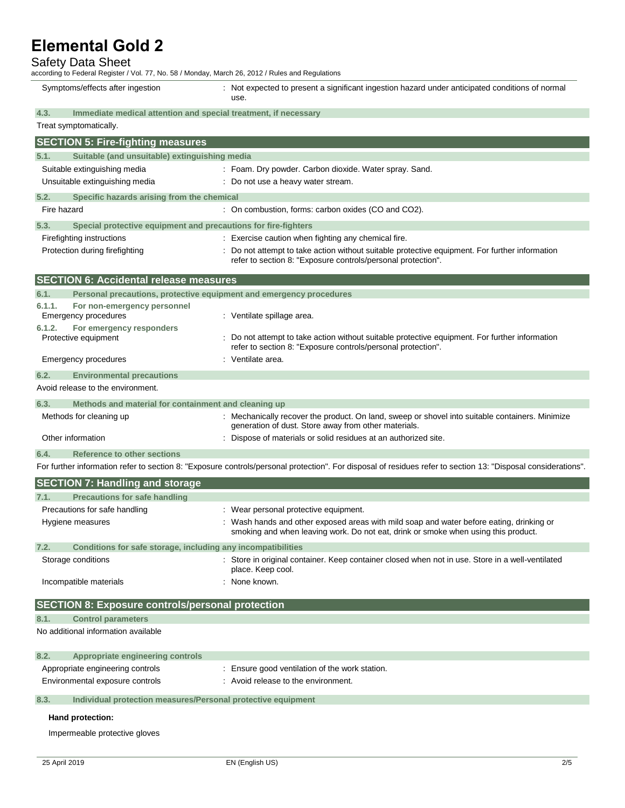### Safety Data Sheet

according to Federal Register / Vol. 77, No. 58 / Monday, March 26, 2012 / Rules and Regulations Symptoms/effects after ingestion : Not expected to present a significant ingestion hazard under anticipated conditions of normal use. **4.3. Immediate medical attention and special treatment, if necessary**

| Treat symptomatically.                                                      |                                                                                                                                                                              |
|-----------------------------------------------------------------------------|------------------------------------------------------------------------------------------------------------------------------------------------------------------------------|
| <b>SECTION 5: Fire-fighting measures</b>                                    |                                                                                                                                                                              |
| Suitable (and unsuitable) extinguishing media<br>5.1.                       |                                                                                                                                                                              |
| Suitable extinguishing media                                                | : Foam. Dry powder. Carbon dioxide. Water spray. Sand.                                                                                                                       |
| Unsuitable extinguishing media                                              | : Do not use a heavy water stream.                                                                                                                                           |
| 5.2.<br>Specific hazards arising from the chemical                          |                                                                                                                                                                              |
| Fire hazard                                                                 | : On combustion, forms: carbon oxides (CO and CO2).                                                                                                                          |
| 5.3.<br>Special protective equipment and precautions for fire-fighters      |                                                                                                                                                                              |
| Firefighting instructions                                                   | : Exercise caution when fighting any chemical fire.                                                                                                                          |
| Protection during firefighting                                              | Do not attempt to take action without suitable protective equipment. For further information<br>refer to section 8: "Exposure controls/personal protection".                 |
| <b>SECTION 6: Accidental release measures</b>                               |                                                                                                                                                                              |
| 6.1.<br>Personal precautions, protective equipment and emergency procedures |                                                                                                                                                                              |
| 6.1.1.<br>For non-emergency personnel<br>Emergency procedures               | : Ventilate spillage area.                                                                                                                                                   |
| 6.1.2.<br>For emergency responders                                          |                                                                                                                                                                              |
| Protective equipment                                                        | Do not attempt to take action without suitable protective equipment. For further information<br>refer to section 8: "Exposure controls/personal protection".                 |
| Emergency procedures                                                        | Ventilate area.                                                                                                                                                              |
| 6.2.<br><b>Environmental precautions</b>                                    |                                                                                                                                                                              |
| Avoid release to the environment.                                           |                                                                                                                                                                              |
| 6.3.<br>Methods and material for containment and cleaning up                |                                                                                                                                                                              |
| Methods for cleaning up                                                     | : Mechanically recover the product. On land, sweep or shovel into suitable containers. Minimize<br>generation of dust. Store away from other materials.                      |
| Other information                                                           | Dispose of materials or solid residues at an authorized site.                                                                                                                |
| <b>Reference to other sections</b><br>6.4.                                  |                                                                                                                                                                              |
|                                                                             | For further information refer to section 8: "Exposure controls/personal protection". For disposal of residues refer to section 13: "Disposal considerations".                |
| <b>SECTION 7: Handling and storage</b>                                      |                                                                                                                                                                              |
| 7.1.<br><b>Precautions for safe handling</b>                                |                                                                                                                                                                              |
| Precautions for safe handling                                               | : Wear personal protective equipment.                                                                                                                                        |
| Hygiene measures                                                            | Wash hands and other exposed areas with mild soap and water before eating, drinking or<br>smoking and when leaving work. Do not eat, drink or smoke when using this product. |
| Conditions for safe storage, including any incompatibilities<br>7.2.        |                                                                                                                                                                              |
| Storage conditions                                                          | : Store in original container. Keep container closed when not in use. Store in a well-ventilated<br>place. Keep cool.                                                        |
| Incompatible materials                                                      | None known.                                                                                                                                                                  |
| <b>SECTION 8: Exposure controls/personal protection</b>                     |                                                                                                                                                                              |
| <b>Control parameters</b><br>8.1.                                           |                                                                                                                                                                              |
| No additional information available                                         |                                                                                                                                                                              |
| 8.2.<br>Appropriate engineering controls                                    |                                                                                                                                                                              |
| Appropriate engineering controls                                            | Ensure good ventilation of the work station.                                                                                                                                 |
| Environmental exposure controls                                             | Avoid release to the environment.                                                                                                                                            |
| 8.3.<br>Individual protection measures/Personal protective equipment        |                                                                                                                                                                              |
| Hand protection:                                                            |                                                                                                                                                                              |
| Impermeable protective gloves                                               |                                                                                                                                                                              |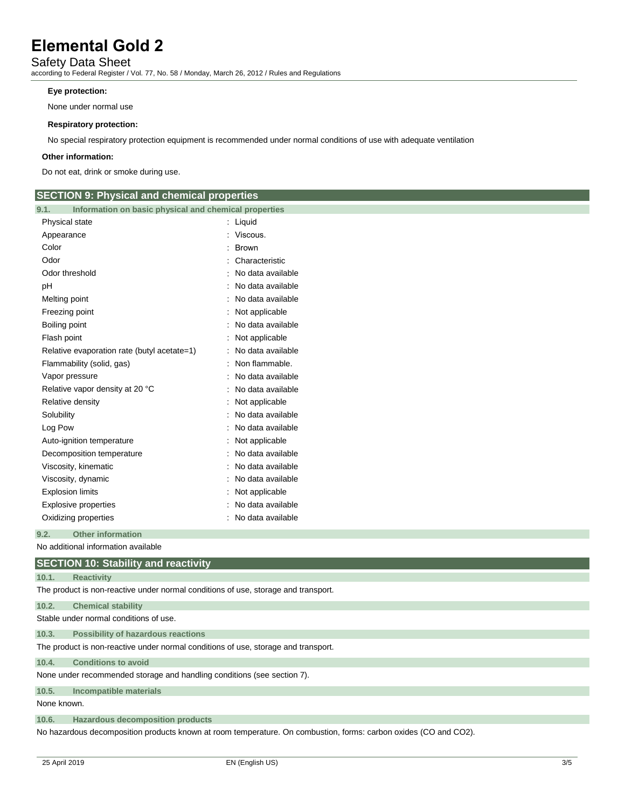### Safety Data Sheet

according to Federal Register / Vol. 77, No. 58 / Monday, March 26, 2012 / Rules and Regulations

#### **Eye protection:**

None under normal use

#### **Respiratory protection:**

No special respiratory protection equipment is recommended under normal conditions of use with adequate ventilation

#### **Other information:**

Do not eat, drink or smoke during use.

| <b>SECTION 9: Physical and chemical properties</b>            |                     |
|---------------------------------------------------------------|---------------------|
| Information on basic physical and chemical properties<br>9.1. |                     |
| Physical state                                                | : Liquid            |
| Appearance                                                    | : Viscous.          |
| Color                                                         | <b>Brown</b>        |
| Odor                                                          | Characteristic      |
| Odor threshold                                                | No data available   |
| pH                                                            | No data available   |
| Melting point                                                 | No data available   |
| Freezing point                                                | Not applicable      |
| Boiling point                                                 | No data available   |
| Flash point                                                   | Not applicable      |
| Relative evaporation rate (butyl acetate=1)                   | No data available   |
| Flammability (solid, gas)                                     | Non flammable.      |
| Vapor pressure                                                | No data available   |
| Relative vapor density at 20 °C                               | No data available   |
| Relative density                                              | Not applicable      |
| Solubility                                                    | No data available   |
| Log Pow                                                       | No data available   |
| Auto-ignition temperature                                     | Not applicable      |
| Decomposition temperature                                     | No data available   |
| Viscosity, kinematic                                          | No data available   |
| Viscosity, dynamic                                            | No data available   |
| <b>Explosion limits</b>                                       | Not applicable      |
| <b>Explosive properties</b>                                   | No data available   |
| Oxidizing properties                                          | : No data available |
| <b>Other information</b><br>9.2.                              |                     |
| No additional information available                           |                     |
| <b>SECTION 10: Stability and reactivity</b>                   |                     |
| 10.1.<br><b>Reactivity</b>                                    |                     |

The product is non-reactive under normal conditions of use, storage and transport.

| 10.2. | <b>Chemical stability</b> |  |
|-------|---------------------------|--|
|       |                           |  |

Stable under normal conditions of use.

**10.3. Possibility of hazardous reactions**

The product is non-reactive under normal conditions of use, storage and transport.

**10.4. Conditions to avoid**

None under recommended storage and handling conditions (see section 7).

**10.5. Incompatible materials**

None known.

**10.6. Hazardous decomposition products**

No hazardous decomposition products known at room temperature. On combustion, forms: carbon oxides (CO and CO2).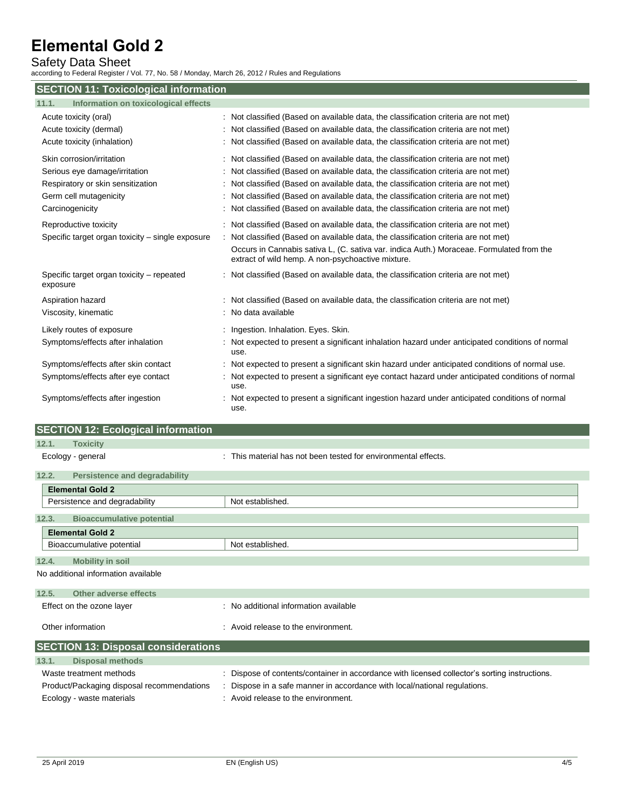### Safety Data Sheet

according to Federal Register / Vol. 77, No. 58 / Monday, March 26, 2012 / Rules and Regulations

| <b>SECTION 11: Toxicological information</b>                                                                                                 |                                                                                                                                                                                                                                                                                                                                                                                                                                                 |  |  |  |
|----------------------------------------------------------------------------------------------------------------------------------------------|-------------------------------------------------------------------------------------------------------------------------------------------------------------------------------------------------------------------------------------------------------------------------------------------------------------------------------------------------------------------------------------------------------------------------------------------------|--|--|--|
| Information on toxicological effects<br>11.1.                                                                                                |                                                                                                                                                                                                                                                                                                                                                                                                                                                 |  |  |  |
| Acute toxicity (oral)<br>Acute toxicity (dermal)<br>Acute toxicity (inhalation)                                                              | : Not classified (Based on available data, the classification criteria are not met)<br>: Not classified (Based on available data, the classification criteria are not met)<br>: Not classified (Based on available data, the classification criteria are not met)                                                                                                                                                                               |  |  |  |
| Skin corrosion/irritation<br>Serious eye damage/irritation<br>Respiratory or skin sensitization<br>Germ cell mutagenicity<br>Carcinogenicity | : Not classified (Based on available data, the classification criteria are not met)<br>: Not classified (Based on available data, the classification criteria are not met)<br>: Not classified (Based on available data, the classification criteria are not met)<br>: Not classified (Based on available data, the classification criteria are not met)<br>: Not classified (Based on available data, the classification criteria are not met) |  |  |  |
| Reproductive toxicity<br>Specific target organ toxicity – single exposure                                                                    | : Not classified (Based on available data, the classification criteria are not met)<br>: Not classified (Based on available data, the classification criteria are not met)<br>Occurs in Cannabis sativa L, (C. sativa var. indica Auth.) Moraceae. Formulated from the<br>extract of wild hemp. A non-psychoactive mixture.                                                                                                                     |  |  |  |
| Specific target organ toxicity – repeated<br>exposure                                                                                        | : Not classified (Based on available data, the classification criteria are not met)                                                                                                                                                                                                                                                                                                                                                             |  |  |  |
| Aspiration hazard<br>Viscosity, kinematic                                                                                                    | : Not classified (Based on available data, the classification criteria are not met)<br>: No data available                                                                                                                                                                                                                                                                                                                                      |  |  |  |
| Likely routes of exposure<br>Symptoms/effects after inhalation                                                                               | : Ingestion. Inhalation. Eyes. Skin.<br>: Not expected to present a significant inhalation hazard under anticipated conditions of normal<br>use.                                                                                                                                                                                                                                                                                                |  |  |  |
| Symptoms/effects after skin contact<br>Symptoms/effects after eye contact                                                                    | : Not expected to present a significant skin hazard under anticipated conditions of normal use.<br>Not expected to present a significant eye contact hazard under anticipated conditions of normal<br>use.                                                                                                                                                                                                                                      |  |  |  |
| Symptoms/effects after ingestion                                                                                                             | Not expected to present a significant ingestion hazard under anticipated conditions of normal<br>use.                                                                                                                                                                                                                                                                                                                                           |  |  |  |

| <b>SECTION 12: Ecological information</b>     |                                                                                               |
|-----------------------------------------------|-----------------------------------------------------------------------------------------------|
| 12.1.<br><b>Toxicity</b>                      |                                                                                               |
| Ecology - general                             | : This material has not been tested for environmental effects.                                |
| 12.2.<br><b>Persistence and degradability</b> |                                                                                               |
| <b>Elemental Gold 2</b>                       |                                                                                               |
| Persistence and degradability                 | Not established.                                                                              |
| <b>Bioaccumulative potential</b><br>12.3.     |                                                                                               |
| <b>Elemental Gold 2</b>                       |                                                                                               |
| Bioaccumulative potential                     | Not established.                                                                              |
| <b>Mobility in soil</b><br>12.4.              |                                                                                               |
| No additional information available           |                                                                                               |
| 12.5.<br>Other adverse effects                |                                                                                               |
| Effect on the ozone layer                     | : No additional information available                                                         |
| Other information                             | : Avoid release to the environment.                                                           |
| <b>SECTION 13: Disposal considerations</b>    |                                                                                               |
| <b>Disposal methods</b><br>13.1.              |                                                                                               |
| Waste treatment methods                       | : Dispose of contents/container in accordance with licensed collector's sorting instructions. |

Product/Packaging disposal recommendations : Dispose in a safe manner in accordance with local/national regulations.

Ecology - waste materials **Example 20** in Avoid release to the environment.